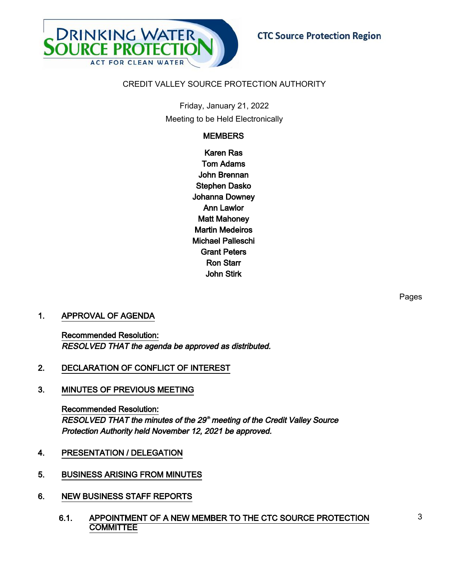

## CREDIT VALLEY SOURCE PROTECTION AUTHORITY

Friday, January 21, 2022 Meeting to be Held Electronically

# **MEMBERS**

Karen Ras Tom Adams John Brennan Stephen Dasko Johanna Downey Ann Lawlor Matt Mahoney Martin Medeiros Michael Palleschi Grant Peters Ron Starr John Stirk

## 1. APPROVAL OF AGENDA

Recommended Resolution: RESOLVED THAT the agenda be approved as distributed.

- 2. DECLARATION OF CONFLICT OF INTEREST
- 3. MINUTES OF PREVIOUS MEETING

Recommended Resolution: RESOLVED THAT the minutes of the 29<sup>th</sup> meeting of the Credit Valley Source Protection Authority held November 12, 2021 be approved.

- 4. PRESENTATION / DELEGATION
- 5. BUSINESS ARISING FROM MINUTES
- 6. NEW BUSINESS STAFF REPORTS
	- 6.1. APPOINTMENT OF A NEW MEMBER TO THE CTC SOURCE PROTECTION **COMMITTEE**

Pages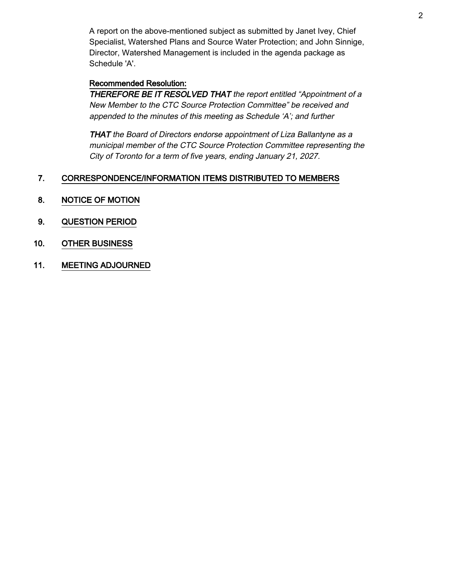A report on the above-mentioned subject as submitted by Janet Ivey, Chief Specialist, Watershed Plans and Source Water Protection; and John Sinnige, Director, Watershed Management is included in the agenda package as Schedule 'A'.

## Recommended Resolution:

THEREFORE BE IT RESOLVED THAT the report entitled "Appointment of a New Member to the CTC Source Protection Committee" be received and appended to the minutes of this meeting as Schedule 'A'; and further

THAT the Board of Directors endorse appointment of Liza Ballantyne as a municipal member of the CTC Source Protection Committee representing the City of Toronto for a term of five years, ending January 21, 2027.

## 7. CORRESPONDENCE/INFORMATION ITEMS DISTRIBUTED TO MEMBERS

- 8. NOTICE OF MOTION
- 9. QUESTION PERIOD
- 10. OTHER BUSINESS
- 11. MEETING ADJOURNED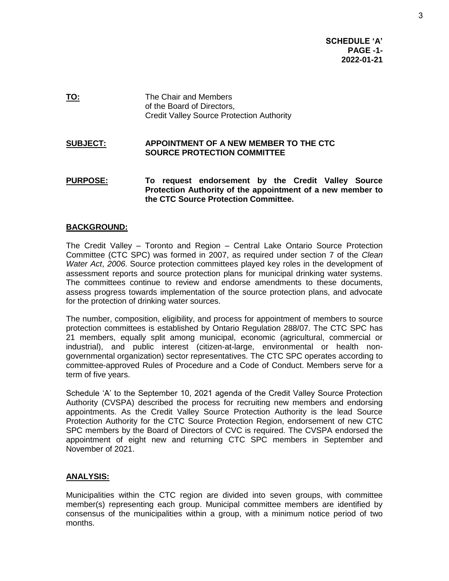**SCHEDULE 'A' PAGE -1- 2022-01-21**

**TO:** The Chair and Members of the Board of Directors, Credit Valley Source Protection Authority

### **SUBJECT: APPOINTMENT OF A NEW MEMBER TO THE CTC SOURCE PROTECTION COMMITTEE**

**PURPOSE: To request endorsement by the Credit Valley Source Protection Authority of the appointment of a new member to the CTC Source Protection Committee.**

### **BACKGROUND:**

The Credit Valley – Toronto and Region – Central Lake Ontario Source Protection Committee (CTC SPC) was formed in 2007, as required under section 7 of the *Clean Water Act*, *2006*. Source protection committees played key roles in the development of assessment reports and source protection plans for municipal drinking water systems. The committees continue to review and endorse amendments to these documents, assess progress towards implementation of the source protection plans, and advocate for the protection of drinking water sources.

The number, composition, eligibility, and process for appointment of members to source protection committees is established by Ontario Regulation 288/07. The CTC SPC has 21 members, equally split among municipal, economic (agricultural, commercial or industrial), and public interest (citizen-at-large, environmental or health nongovernmental organization) sector representatives. The CTC SPC operates according to committee-approved Rules of Procedure and a Code of Conduct. Members serve for a term of five years.

Schedule 'A' to the September 10, 2021 agenda of the Credit Valley Source Protection Authority (CVSPA) described the process for recruiting new members and endorsing appointments. As the Credit Valley Source Protection Authority is the lead Source Protection Authority for the CTC Source Protection Region, endorsement of new CTC SPC members by the Board of Directors of CVC is required. The CVSPA endorsed the appointment of eight new and returning CTC SPC members in September and November of 2021.

#### **ANALYSIS:**

Municipalities within the CTC region are divided into seven groups, with committee member(s) representing each group. Municipal committee members are identified by consensus of the municipalities within a group, with a minimum notice period of two months.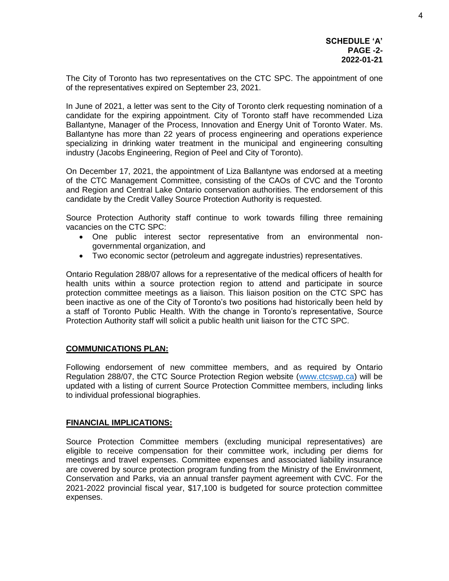The City of Toronto has two representatives on the CTC SPC. The appointment of one of the representatives expired on September 23, 2021.

In June of 2021, a letter was sent to the City of Toronto clerk requesting nomination of a candidate for the expiring appointment. City of Toronto staff have recommended Liza Ballantyne, Manager of the Process, Innovation and Energy Unit of Toronto Water. Ms. Ballantyne has more than 22 years of process engineering and operations experience specializing in drinking water treatment in the municipal and engineering consulting industry (Jacobs Engineering, Region of Peel and City of Toronto).

On December 17, 2021, the appointment of Liza Ballantyne was endorsed at a meeting of the CTC Management Committee, consisting of the CAOs of CVC and the Toronto and Region and Central Lake Ontario conservation authorities. The endorsement of this candidate by the Credit Valley Source Protection Authority is requested.

Source Protection Authority staff continue to work towards filling three remaining vacancies on the CTC SPC:

- One public interest sector representative from an environmental nongovernmental organization, and
- Two economic sector (petroleum and aggregate industries) representatives.

Ontario Regulation 288/07 allows for a representative of the medical officers of health for health units within a source protection region to attend and participate in source protection committee meetings as a liaison. This liaison position on the CTC SPC has been inactive as one of the City of Toronto's two positions had historically been held by a staff of Toronto Public Health. With the change in Toronto's representative, Source Protection Authority staff will solicit a public health unit liaison for the CTC SPC.

#### **COMMUNICATIONS PLAN:**

Following endorsement of new committee members, and as required by Ontario Regulation 288/07, the CTC Source Protection Region website [\(www.ctcswp.ca\)](http://www.ctcswp.ca/) will be updated with a listing of current Source Protection Committee members, including links to individual professional biographies.

#### **FINANCIAL IMPLICATIONS:**

Source Protection Committee members (excluding municipal representatives) are eligible to receive compensation for their committee work, including per diems for meetings and travel expenses. Committee expenses and associated liability insurance are covered by source protection program funding from the Ministry of the Environment, Conservation and Parks, via an annual transfer payment agreement with CVC. For the 2021-2022 provincial fiscal year, \$17,100 is budgeted for source protection committee expenses.